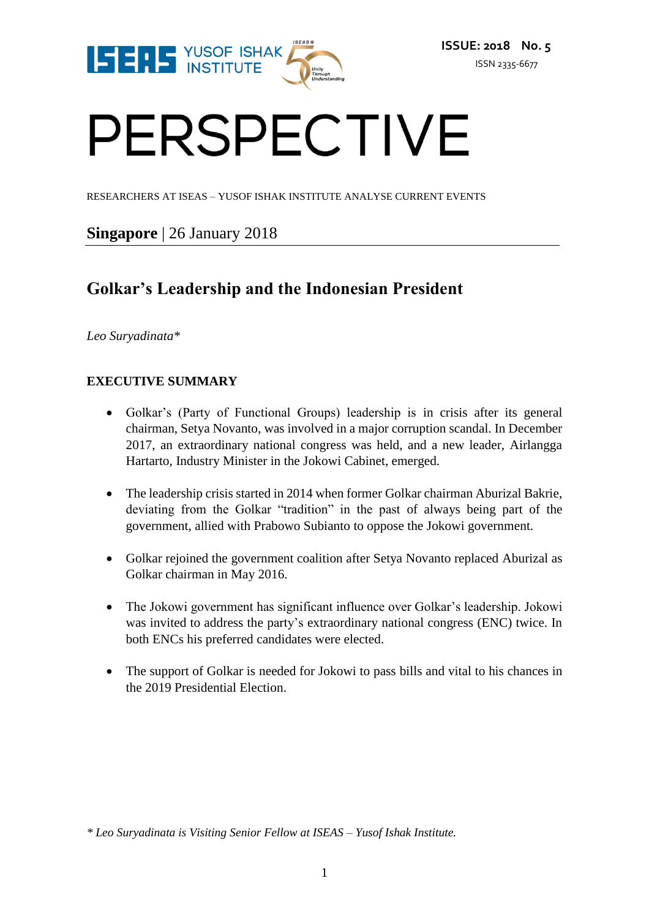

# PERSPECTIVE

RESEARCHERS AT ISEAS – YUSOF ISHAK INSTITUTE ANALYSE CURRENT EVENTS

### **Singapore** | 26 January 2018

## **Golkar's Leadership and the Indonesian President**

*Leo Suryadinata\**

#### **EXECUTIVE SUMMARY**

- Golkar's (Party of Functional Groups) leadership is in crisis after its general chairman, Setya Novanto, was involved in a major corruption scandal. In December 2017, an extraordinary national congress was held, and a new leader, Airlangga Hartarto, Industry Minister in the Jokowi Cabinet, emerged.
- The leadership crisis started in 2014 when former Golkar chairman Aburizal Bakrie, deviating from the Golkar "tradition" in the past of always being part of the government, allied with Prabowo Subianto to oppose the Jokowi government.
- Golkar rejoined the government coalition after Setya Novanto replaced Aburizal as Golkar chairman in May 2016.
- The Jokowi government has significant influence over Golkar's leadership. Jokowi was invited to address the party's extraordinary national congress (ENC) twice. In both ENCs his preferred candidates were elected.
- The support of Golkar is needed for Jokowi to pass bills and vital to his chances in the 2019 Presidential Election.

*\* Leo Suryadinata is Visiting Senior Fellow at ISEAS – Yusof Ishak Institute.*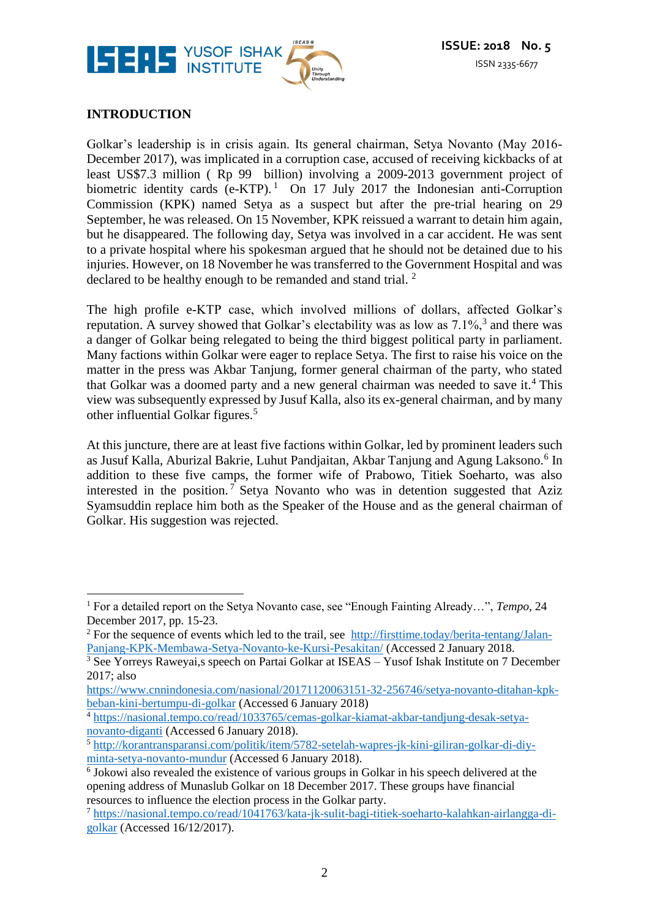

#### **INTRODUCTION**

Golkar's leadership is in crisis again. Its general chairman, Setya Novanto (May 2016- December 2017), was implicated in a corruption case, accused of receiving kickbacks of at least US\$7.3 million ( Rp 99 billion) involving a 2009-2013 government project of biometric identity cards  $(e-KTP)$ .<sup>1</sup> On 17 July 2017 the Indonesian anti-Corruption Commission (KPK) named Setya as a suspect but after the pre-trial hearing on 29 September, he was released. On 15 November, KPK reissued a warrant to detain him again, but he disappeared. The following day, Setya was involved in a car accident. He was sent to a private hospital where his spokesman argued that he should not be detained due to his injuries. However, on 18 November he was transferred to the Government Hospital and was declared to be healthy enough to be remanded and stand trial.  $2^2$ 

The high profile e-KTP case, which involved millions of dollars, affected Golkar's reputation. A survey showed that Golkar's electability was as low as  $7.1\%$ ,  $3$  and there was a danger of Golkar being relegated to being the third biggest political party in parliament. Many factions within Golkar were eager to replace Setya. The first to raise his voice on the matter in the press was Akbar Tanjung, former general chairman of the party, who stated that Golkar was a doomed party and a new general chairman was needed to save it.<sup>4</sup> This view was subsequently expressed by Jusuf Kalla, also its ex-general chairman, and by many other influential Golkar figures.<sup>5</sup>

At this juncture, there are at least five factions within Golkar, led by prominent leaders such as Jusuf Kalla, Aburizal Bakrie, Luhut Pandjaitan, Akbar Tanjung and Agung Laksono.<sup>6</sup> In addition to these five camps, the former wife of Prabowo, Titiek Soeharto, was also interested in the position.<sup>7</sup> Setya Novanto who was in detention suggested that Aziz Syamsuddin replace him both as the Speaker of the House and as the general chairman of Golkar. His suggestion was rejected.

 $\overline{a}$ <sup>1</sup> For a detailed report on the Setya Novanto case, see "Enough Fainting Already…", *Tempo*, 24 December 2017, pp. 15-23.

<sup>&</sup>lt;sup>2</sup> For the sequence of events which led to the trail, see [http://firsttime.today/berita-tentang/Jalan-](http://firsttime.today/berita-tentang/Jalan-Panjang-KPK-Membawa-Setya-Novanto-ke-Kursi-Pesakitan/)[Panjang-KPK-Membawa-Setya-Novanto-ke-Kursi-Pesakitan/](http://firsttime.today/berita-tentang/Jalan-Panjang-KPK-Membawa-Setya-Novanto-ke-Kursi-Pesakitan/) (Accessed 2 January 2018.

<sup>&</sup>lt;sup>3</sup> See Yorreys Raweyai,s speech on Partai Golkar at ISEAS – Yusof Ishak Institute on 7 December 2017; also

[https://www.cnnindonesia.com/nasional/20171120063151-32-256746/setya-novanto-ditahan-kpk](https://www.cnnindonesia.com/nasional/20171120063151-32-256746/setya-novanto-ditahan-kpk-beban-kini-bertumpu-di-golkar)[beban-kini-bertumpu-di-golkar](https://www.cnnindonesia.com/nasional/20171120063151-32-256746/setya-novanto-ditahan-kpk-beban-kini-bertumpu-di-golkar) (Accessed 6 January 2018)

<sup>4</sup> [https://nasional.tempo.co/read/1033765/cemas-golkar-kiamat-akbar-tandjung-desak-setya](https://nasional.tempo.co/read/1033765/cemas-golkar-kiamat-akbar-tandjung-desak-setya-novanto-diganti)[novanto-diganti](https://nasional.tempo.co/read/1033765/cemas-golkar-kiamat-akbar-tandjung-desak-setya-novanto-diganti) (Accessed 6 January 2018).

<sup>5</sup> [http://korantransparansi.com/politik/item/5782-setelah-wapres-jk-kini-giliran-golkar-di-diy](http://korantransparansi.com/politik/item/5782-setelah-wapres-jk-kini-giliran-golkar-di-diy-minta-setya-novanto-mundur)[minta-setya-novanto-mundur](http://korantransparansi.com/politik/item/5782-setelah-wapres-jk-kini-giliran-golkar-di-diy-minta-setya-novanto-mundur) (Accessed 6 January 2018).

<sup>&</sup>lt;sup>6</sup> Jokowi also revealed the existence of various groups in Golkar in his speech delivered at the opening address of Munaslub Golkar on 18 December 2017. These groups have financial resources to influence the election process in the Golkar party.

<sup>7</sup> [https://nasional.tempo.co/read/1041763/kata-jk-sulit-bagi-titiek-soeharto-kalahkan-airlangga-di](https://nasional.tempo.co/read/1041763/kata-jk-sulit-bagi-titiek-soeharto-kalahkan-airlangga-di-golkar)[golkar](https://nasional.tempo.co/read/1041763/kata-jk-sulit-bagi-titiek-soeharto-kalahkan-airlangga-di-golkar) (Accessed 16/12/2017).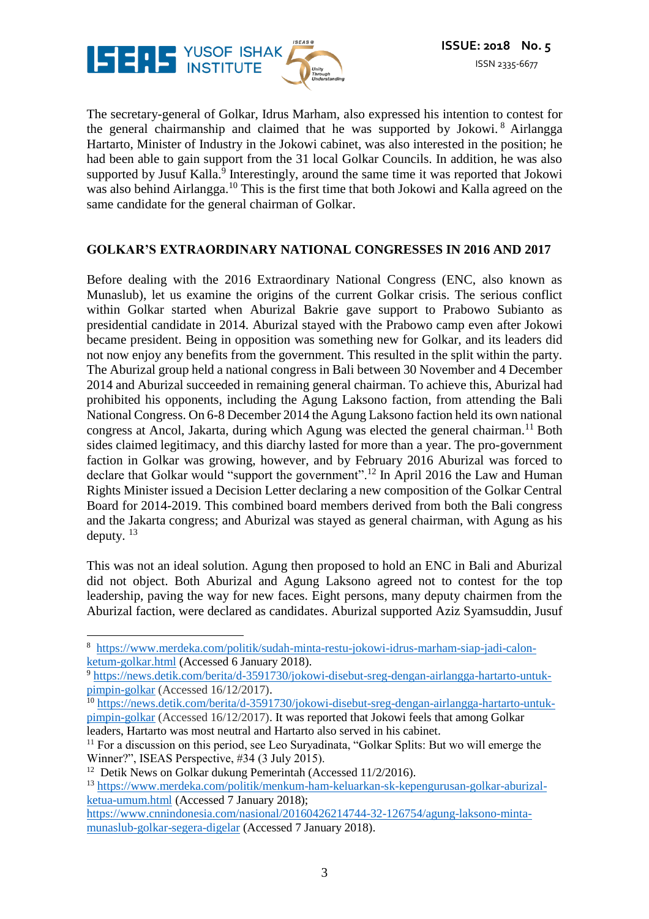

The secretary-general of Golkar, Idrus Marham, also expressed his intention to contest for the general chairmanship and claimed that he was supported by Jokowi. <sup>8</sup> Airlangga Hartarto, Minister of Industry in the Jokowi cabinet, was also interested in the position; he had been able to gain support from the 31 local Golkar Councils. In addition, he was also supported by Jusuf Kalla.<sup>9</sup> Interestingly, around the same time it was reported that Jokowi was also behind Airlangga.<sup>10</sup> This is the first time that both Jokowi and Kalla agreed on the same candidate for the general chairman of Golkar.

#### **GOLKAR'S EXTRAORDINARY NATIONAL CONGRESSES IN 2016 AND 2017**

Before dealing with the 2016 Extraordinary National Congress (ENC, also known as Munaslub), let us examine the origins of the current Golkar crisis. The serious conflict within Golkar started when Aburizal Bakrie gave support to Prabowo Subianto as presidential candidate in 2014. Aburizal stayed with the Prabowo camp even after Jokowi became president. Being in opposition was something new for Golkar, and its leaders did not now enjoy any benefits from the government. This resulted in the split within the party. The Aburizal group held a national congress in Bali between 30 November and 4 December 2014 and Aburizal succeeded in remaining general chairman. To achieve this, Aburizal had prohibited his opponents, including the Agung Laksono faction, from attending the Bali National Congress. On 6-8 December 2014 the Agung Laksono faction held its own national congress at Ancol, Jakarta, during which Agung was elected the general chairman.<sup>11</sup> Both sides claimed legitimacy, and this diarchy lasted for more than a year. The pro-government faction in Golkar was growing, however, and by February 2016 Aburizal was forced to declare that Golkar would "support the government".<sup>12</sup> In April 2016 the Law and Human Rights Minister issued a Decision Letter declaring a new composition of the Golkar Central Board for 2014-2019. This combined board members derived from both the Bali congress and the Jakarta congress; and Aburizal was stayed as general chairman, with Agung as his deputy.  $^{13}$ 

This was not an ideal solution. Agung then proposed to hold an ENC in Bali and Aburizal did not object. Both Aburizal and Agung Laksono agreed not to contest for the top leadership, paving the way for new faces. Eight persons, many deputy chairmen from the Aburizal faction, were declared as candidates. Aburizal supported Aziz Syamsuddin, Jusuf

 $\overline{a}$ 8 [https://www.merdeka.com/politik/sudah-minta-restu-jokowi-idrus-marham-siap-jadi-calon](https://www.merdeka.com/politik/sudah-minta-restu-jokowi-idrus-marham-siap-jadi-calon-ketum-golkar.html)[ketum-golkar.html](https://www.merdeka.com/politik/sudah-minta-restu-jokowi-idrus-marham-siap-jadi-calon-ketum-golkar.html) (Accessed 6 January 2018).

<sup>9</sup> [https://news.detik.com/berita/d-3591730/jokowi-disebut-sreg-dengan-airlangga-hartarto-untuk](https://news.detik.com/berita/d-3591730/jokowi-disebut-sreg-dengan-airlangga-hartarto-untuk-pimpin-golkar)[pimpin-golkar](https://news.detik.com/berita/d-3591730/jokowi-disebut-sreg-dengan-airlangga-hartarto-untuk-pimpin-golkar) (Accessed 16/12/2017).

<sup>&</sup>lt;sup>10</sup> [https://news.detik.com/berita/d-3591730/jokowi-disebut-sreg-dengan-airlangga-hartarto-untuk](https://news.detik.com/berita/d-3591730/jokowi-disebut-sreg-dengan-airlangga-hartarto-untuk-pimpin-golkar)[pimpin-golkar](https://news.detik.com/berita/d-3591730/jokowi-disebut-sreg-dengan-airlangga-hartarto-untuk-pimpin-golkar) (Accessed 16/12/2017). It was reported that Jokowi feels that among Golkar leaders, Hartarto was most neutral and Hartarto also served in his cabinet.

<sup>&</sup>lt;sup>11</sup> For a discussion on this period, see Leo Suryadinata, "Golkar Splits: But wo will emerge the Winner?", ISEAS Perspective, #34 (3 July 2015).

<sup>&</sup>lt;sup>12</sup> Detik News on Golkar dukung Pemerintah (Accessed 11/2/2016).

<sup>13</sup> [https://www.merdeka.com/politik/menkum-ham-keluarkan-sk-kepengurusan-golkar-aburizal](https://www.merdeka.com/politik/menkum-ham-keluarkan-sk-kepengurusan-golkar-aburizal-ketua-umum.html)[ketua-umum.html](https://www.merdeka.com/politik/menkum-ham-keluarkan-sk-kepengurusan-golkar-aburizal-ketua-umum.html) (Accessed 7 January 2018);

[https://www.cnnindonesia.com/nasional/20160426214744-32-126754/agung-laksono-minta](https://www.cnnindonesia.com/nasional/20160426214744-32-126754/agung-laksono-minta-munaslub-golkar-segera-digelar)[munaslub-golkar-segera-digelar](https://www.cnnindonesia.com/nasional/20160426214744-32-126754/agung-laksono-minta-munaslub-golkar-segera-digelar) (Accessed 7 January 2018).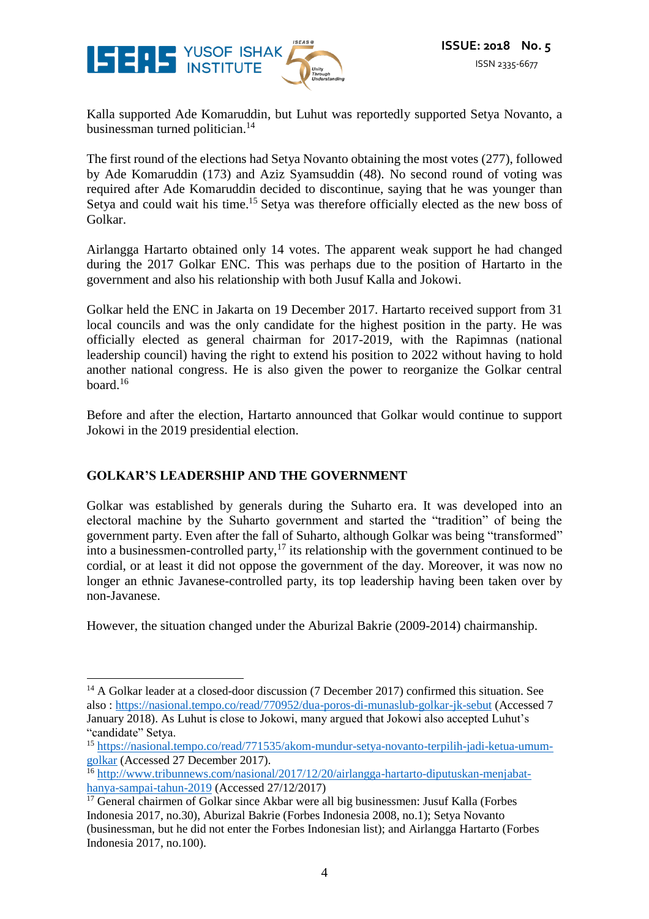

Kalla supported Ade Komaruddin, but Luhut was reportedly supported Setya Novanto, a businessman turned politician.<sup>14</sup>

The first round of the elections had Setya Novanto obtaining the most votes (277), followed by Ade Komaruddin (173) and Aziz Syamsuddin (48). No second round of voting was required after Ade Komaruddin decided to discontinue, saying that he was younger than Setya and could wait his time.<sup>15</sup> Setya was therefore officially elected as the new boss of Golkar.

Airlangga Hartarto obtained only 14 votes. The apparent weak support he had changed during the 2017 Golkar ENC. This was perhaps due to the position of Hartarto in the government and also his relationship with both Jusuf Kalla and Jokowi.

Golkar held the ENC in Jakarta on 19 December 2017. Hartarto received support from 31 local councils and was the only candidate for the highest position in the party. He was officially elected as general chairman for 2017-2019, with the Rapimnas (national leadership council) having the right to extend his position to 2022 without having to hold another national congress. He is also given the power to reorganize the Golkar central board. $16$ 

Before and after the election, Hartarto announced that Golkar would continue to support Jokowi in the 2019 presidential election.

#### **GOLKAR'S LEADERSHIP AND THE GOVERNMENT**

 $\overline{a}$ 

Golkar was established by generals during the Suharto era. It was developed into an electoral machine by the Suharto government and started the "tradition" of being the government party. Even after the fall of Suharto, although Golkar was being "transformed" into a businessmen-controlled party, $17$  its relationship with the government continued to be cordial, or at least it did not oppose the government of the day. Moreover, it was now no longer an ethnic Javanese-controlled party, its top leadership having been taken over by non-Javanese.

However, the situation changed under the Aburizal Bakrie (2009-2014) chairmanship.

 $14$  A Golkar leader at a closed-door discussion (7 December 2017) confirmed this situation. See also [: https://nasional.tempo.co/read/770952/dua-poros-di-munaslub-golkar-jk-sebut](https://nasional.tempo.co/read/770952/dua-poros-di-munaslub-golkar-jk-sebut) (Accessed 7 January 2018). As Luhut is close to Jokowi, many argued that Jokowi also accepted Luhut's "candidate" Setya.

<sup>15</sup> [https://nasional.tempo.co/read/771535/akom-mundur-setya-novanto-terpilih-jadi-ketua-umum](https://nasional.tempo.co/read/771535/akom-mundur-setya-novanto-terpilih-jadi-ketua-umum-golkar)[golkar](https://nasional.tempo.co/read/771535/akom-mundur-setya-novanto-terpilih-jadi-ketua-umum-golkar) (Accessed 27 December 2017).

<sup>&</sup>lt;sup>16</sup> [http://www.tribunnews.com/nasional/2017/12/20/airlangga-hartarto-diputuskan-menjabat](http://www.tribunnews.com/nasional/2017/12/20/airlangga-hartarto-diputuskan-menjabat-hanya-sampai-tahun-2019)[hanya-sampai-tahun-2019](http://www.tribunnews.com/nasional/2017/12/20/airlangga-hartarto-diputuskan-menjabat-hanya-sampai-tahun-2019) (Accessed 27/12/2017)

<sup>&</sup>lt;sup>17</sup> General chairmen of Golkar since Akbar were all big businessmen: Jusuf Kalla (Forbes Indonesia 2017, no.30), Aburizal Bakrie (Forbes Indonesia 2008, no.1); Setya Novanto (businessman, but he did not enter the Forbes Indonesian list); and Airlangga Hartarto (Forbes Indonesia 2017, no.100).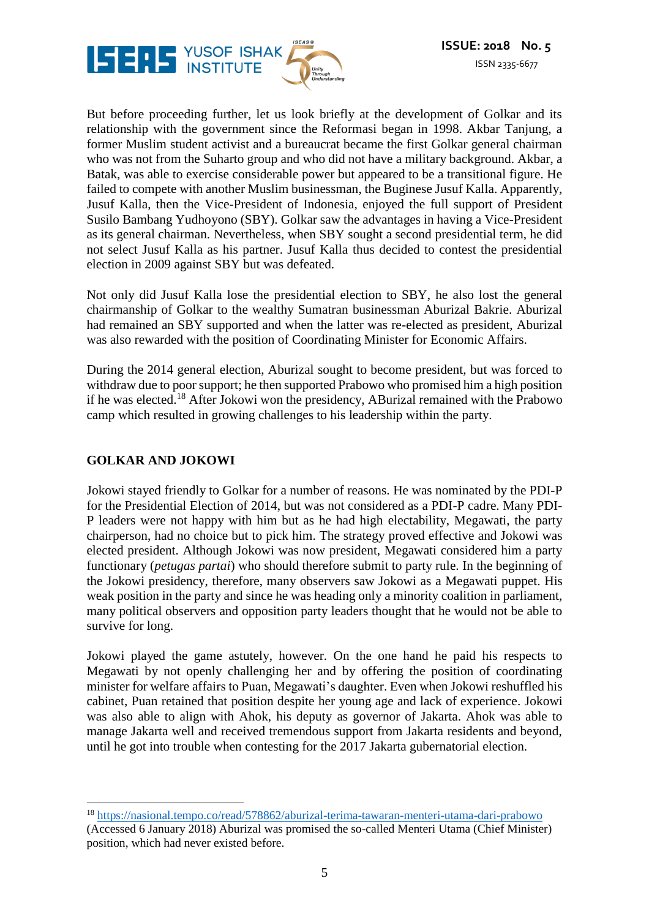

But before proceeding further, let us look briefly at the development of Golkar and its relationship with the government since the Reformasi began in 1998. Akbar Tanjung, a former Muslim student activist and a bureaucrat became the first Golkar general chairman who was not from the Suharto group and who did not have a military background. Akbar, a Batak, was able to exercise considerable power but appeared to be a transitional figure. He failed to compete with another Muslim businessman, the Buginese Jusuf Kalla. Apparently, Jusuf Kalla, then the Vice-President of Indonesia, enjoyed the full support of President Susilo Bambang Yudhoyono (SBY). Golkar saw the advantages in having a Vice-President as its general chairman. Nevertheless, when SBY sought a second presidential term, he did not select Jusuf Kalla as his partner. Jusuf Kalla thus decided to contest the presidential election in 2009 against SBY but was defeated.

Not only did Jusuf Kalla lose the presidential election to SBY, he also lost the general chairmanship of Golkar to the wealthy Sumatran businessman Aburizal Bakrie. Aburizal had remained an SBY supported and when the latter was re-elected as president, Aburizal was also rewarded with the position of Coordinating Minister for Economic Affairs.

During the 2014 general election, Aburizal sought to become president, but was forced to withdraw due to poor support; he then supported Prabowo who promised him a high position if he was elected.<sup>18</sup> After Jokowi won the presidency, ABurizal remained with the Prabowo camp which resulted in growing challenges to his leadership within the party.

#### **GOLKAR AND JOKOWI**

<u>.</u>

Jokowi stayed friendly to Golkar for a number of reasons. He was nominated by the PDI-P for the Presidential Election of 2014, but was not considered as a PDI-P cadre. Many PDI-P leaders were not happy with him but as he had high electability, Megawati, the party chairperson, had no choice but to pick him. The strategy proved effective and Jokowi was elected president. Although Jokowi was now president, Megawati considered him a party functionary (*petugas partai*) who should therefore submit to party rule. In the beginning of the Jokowi presidency, therefore, many observers saw Jokowi as a Megawati puppet. His weak position in the party and since he was heading only a minority coalition in parliament, many political observers and opposition party leaders thought that he would not be able to survive for long.

Jokowi played the game astutely, however. On the one hand he paid his respects to Megawati by not openly challenging her and by offering the position of coordinating minister for welfare affairs to Puan, Megawati's daughter. Even when Jokowi reshuffled his cabinet, Puan retained that position despite her young age and lack of experience. Jokowi was also able to align with Ahok, his deputy as governor of Jakarta. Ahok was able to manage Jakarta well and received tremendous support from Jakarta residents and beyond, until he got into trouble when contesting for the 2017 Jakarta gubernatorial election.

<sup>18</sup> <https://nasional.tempo.co/read/578862/aburizal-terima-tawaran-menteri-utama-dari-prabowo>

<sup>(</sup>Accessed 6 January 2018) Aburizal was promised the so-called Menteri Utama (Chief Minister) position, which had never existed before.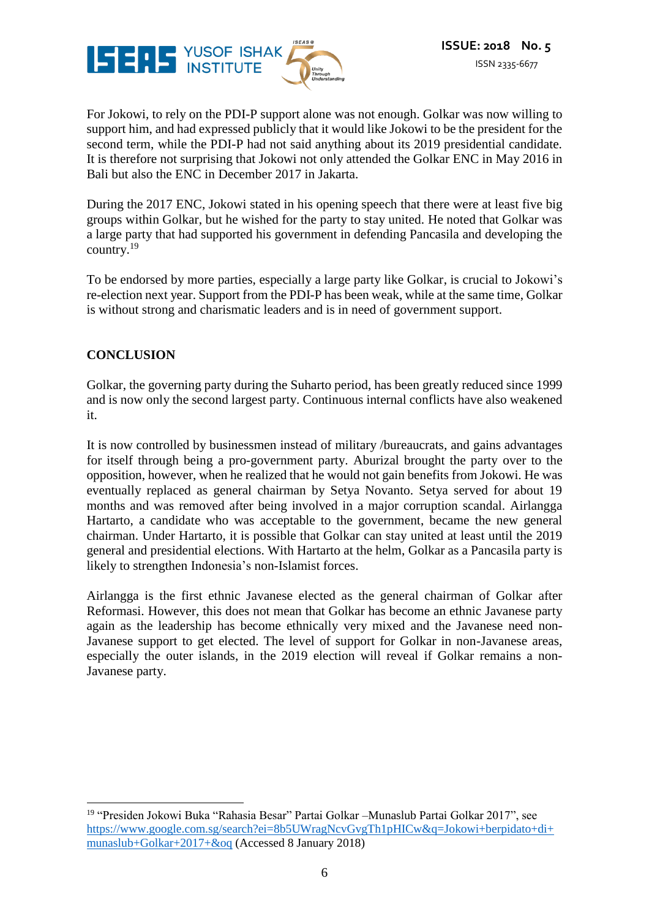

For Jokowi, to rely on the PDI-P support alone was not enough. Golkar was now willing to support him, and had expressed publicly that it would like Jokowi to be the president for the second term, while the PDI-P had not said anything about its 2019 presidential candidate. It is therefore not surprising that Jokowi not only attended the Golkar ENC in May 2016 in Bali but also the ENC in December 2017 in Jakarta.

During the 2017 ENC, Jokowi stated in his opening speech that there were at least five big groups within Golkar, but he wished for the party to stay united. He noted that Golkar was a large party that had supported his government in defending Pancasila and developing the country. $^{19}$ 

To be endorsed by more parties, especially a large party like Golkar, is crucial to Jokowi's re-election next year. Support from the PDI-P has been weak, while at the same time, Golkar is without strong and charismatic leaders and is in need of government support.

#### **CONCLUSION**

Golkar, the governing party during the Suharto period, has been greatly reduced since 1999 and is now only the second largest party. Continuous internal conflicts have also weakened it.

It is now controlled by businessmen instead of military /bureaucrats, and gains advantages for itself through being a pro-government party. Aburizal brought the party over to the opposition, however, when he realized that he would not gain benefits from Jokowi. He was eventually replaced as general chairman by Setya Novanto. Setya served for about 19 months and was removed after being involved in a major corruption scandal. Airlangga Hartarto, a candidate who was acceptable to the government, became the new general chairman. Under Hartarto, it is possible that Golkar can stay united at least until the 2019 general and presidential elections. With Hartarto at the helm, Golkar as a Pancasila party is likely to strengthen Indonesia's non-Islamist forces.

Airlangga is the first ethnic Javanese elected as the general chairman of Golkar after Reformasi. However, this does not mean that Golkar has become an ethnic Javanese party again as the leadership has become ethnically very mixed and the Javanese need non-Javanese support to get elected. The level of support for Golkar in non-Javanese areas, especially the outer islands, in the 2019 election will reveal if Golkar remains a non-Javanese party.

<sup>&</sup>lt;u>.</u> <sup>19</sup> "Presiden Jokowi Buka "Rahasia Besar" Partai Golkar –Munaslub Partai Golkar 2017", see [https://www.google.com.sg/search?ei=8b5UWragNcvGvgTh1pHICw&q=Jokowi+berpidato+di+](https://www.google.com.sg/search?ei=8b5UWragNcvGvgTh1pHICw&q=Jokowi+berpidato+di+munaslub+Golkar+2017+&oq) [munaslub+Golkar+2017+&oq](https://www.google.com.sg/search?ei=8b5UWragNcvGvgTh1pHICw&q=Jokowi+berpidato+di+munaslub+Golkar+2017+&oq) (Accessed 8 January 2018)